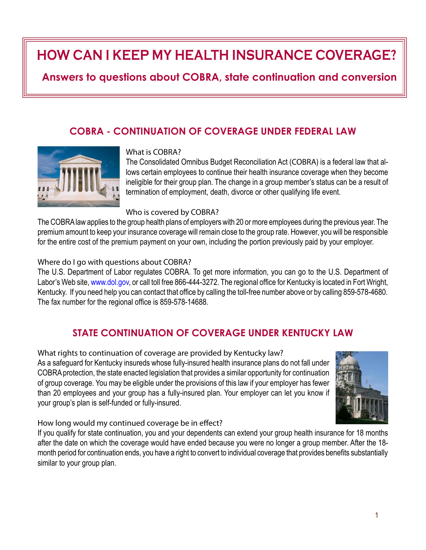# **HOW CAN I KEEP MY HEALTH INSURANCE COVERAGE?**

# **Answers to questions about COBRA, state continuation and conversion**

# **COBRA - CONTINUATION OF COVERAGE UNDER FEDERAL LAW**



#### What is COBRA?

The Consolidated Omnibus Budget Reconciliation Act (COBRA) is a federal law that allows certain employees to continue their health insurance coverage when they become ineligible for their group plan. The change in a group member's status can be a result of termination of employment, death, divorce or other qualifying life event.

#### Who is covered by COBRA?

The COBRA law applies to the group health plans of employers with 20 or more employees during the previous year. The premium amount to keep your insurance coverage will remain close to the group rate. However, you will be responsible for the entire cost of the premium payment on your own, including the portion previously paid by your employer.

Where do I go with questions about COBRA?

The U.S. Department of Labor regulates COBRA. To get more information, you can go to the U.S. Department of Labor's Web site, www.dol.gov, or call toll free 866-444-3272. The regional office for Kentucky is located in Fort Wright. Kentucky. If you need help you can contact that office by calling the toll-free number above or by calling 859-578-4680. The fax number for the regional office is 859-578-14688.

## **STATE CONTINUATION OF COVERAGE UNDER KENTUCKY LAW**

What rights to continuation of coverage are provided by Kentucky law? As a safeguard for Kentucky insureds whose fully-insured health insurance plans do not fall under COBRA protection, the state enacted legislation that provides a similar opportunity for continuation of group coverage. You may be eligible under the provisions of this law if your employer has fewer than 20 employees and your group has a fully-insured plan. Your employer can let you know if your group's plan is self-funded or fully-insured.



How long would my continued coverage be in effect?

If you qualify for state continuation, you and your dependents can extend your group health insurance for 18 months after the date on which the coverage would have ended because you were no longer a group member. After the 18 month period for continuation ends, you have a right to convert to individual coverage that provides benefits substantially similar to your group plan.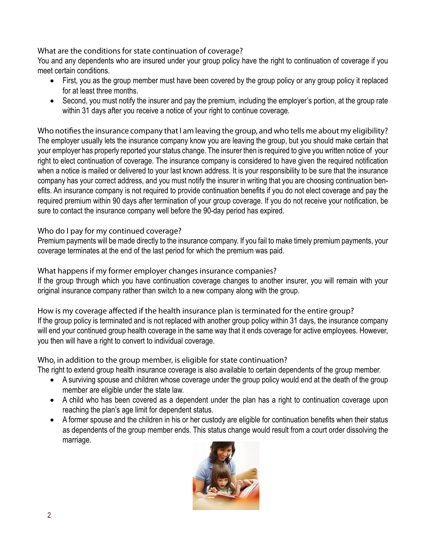## What are the conditions for state continuation of coverage?

You and any dependents who are insured under your group policy have the right to continuation of coverage if you meet certain conditions.

- First, you as the group member must have been covered by the group policy or any group policy it replaced for at least three months.
- Second, you must notify the insurer and pay the premium, including the employer's portion, at the group rate within 31 days after you receive a notice of your right to continue coverage.

Who notifies the insurance company that I am leaving the group, and who tells me about my eligibility? The employer usually lets the insurance company know you are leaving the group, but you should make certain that your employer has properly reported your status change. The insurer then is required to give you written notice of your right to elect continuation of coverage. The insurance company is considered to have given the required notification when a notice is mailed or delivered to your last known address. It is your responsibility to be sure that the insurance company has your correct address, and you must notify the insurer in writing that you are choosing continuation benefits. An insurance company is not required to provide continuation benefits if you do not elect coverage and pay the required premium within 90 days after termination of your group coverage. If you do not receive your notification, be sure to contact the insurance company well before the 90-day period has expired.

## Who do I pay for my continued coverage?

Premium payments will be made directly to the insurance company. If you fail to make timely premium payments, your coverage terminates at the end of the last period for which the premium was paid.

## What happens if my former employer changes insurance companies?

If the group through which you have continuation coverage changes to another insurer, you will remain with your original insurance company rather than switch to a new company along with the group.

How is my coverage affected if the health insurance plan is terminated for the entire group? If the group policy is terminated and is not replaced with another group policy within 31 days, the insurance company will end your continued group health coverage in the same way that it ends coverage for active employees. However, you then will have a right to convert to individual coverage.

Who, in addition to the group member, is eligible for state continuation?

The right to extend group health insurance coverage is also available to certain dependents of the group member.

- A surviving spouse and children whose coverage under the group policy would end at the death of the group member are eligible under the state law.
- A child who has been covered as a dependent under the plan has a right to continuation coverage upon reaching the plan's age limit for dependent status.
- A former spouse and the children in his or her custody are eligible for continuation benefits when their status as dependents of the group member ends. This status change would result from a court order dissolving the marriage.

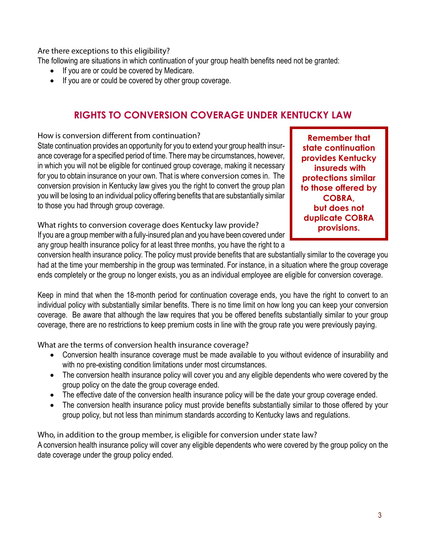#### Are there exceptions to this eligibility?

The following are situations in which continuation of your group health benefits need not be granted:

- If you are or could be covered by Medicare.
- If you are or could be covered by other group coverage.

## **RIGHTS TO CONVERSION COVERAGE UNDER KENTUCKY LAW**

How is conversion different from continuation?

State continuation provides an opportunity for you to extend your group health insurance coverage for a specified period of time. There may be circumstances, however, in which you will not be eligible for continued group coverage, making it necessary for you to obtain insurance on your own. That is where conversion comes in. The conversion provision in Kentucky law gives you the right to convert the group plan you will be losing to an individual policy offering benefits that are substantially similar to those you had through group coverage.

**Remember that state continuation provides Kentucky insureds with protections similar to those offered by COBRA, but does not duplicate COBRA provisions.**

What rights to conversion coverage does Kentucky law provide? If you are a group member with a fully-insured plan and you have been covered under any group health insurance policy for at least three months, you have the right to a

conversion health insurance policy. The policy must provide benefits that are substantially similar to the coverage you had at the time your membership in the group was terminated. For instance, in a situation where the group coverage ends completely or the group no longer exists, you as an individual employee are eligible for conversion coverage.

Keep in mind that when the 18-month period for continuation coverage ends, you have the right to convert to an individual policy with substantially similar benefits. There is no time limit on how long you can keep your conversion coverage. Be aware that although the law requires that you be offered benefits substantially similar to your group coverage, there are no restrictions to keep premium costs in line with the group rate you were previously paying.

What are the terms of conversion health insurance coverage?

- Conversion health insurance coverage must be made available to you without evidence of insurability and with no pre-existing condition limitations under most circumstances.
- The conversion health insurance policy will cover you and any eligible dependents who were covered by the group policy on the date the group coverage ended.
- The effective date of the conversion health insurance policy will be the date your group coverage ended.
- The conversion health insurance policy must provide benefits substantially similar to those offered by your group policy, but not less than minimum standards according to Kentucky laws and regulations.

Who, in addition to the group member, is eligible for conversion under state law? A conversion health insurance policy will cover any eligible dependents who were covered by the group policy on the date coverage under the group policy ended.